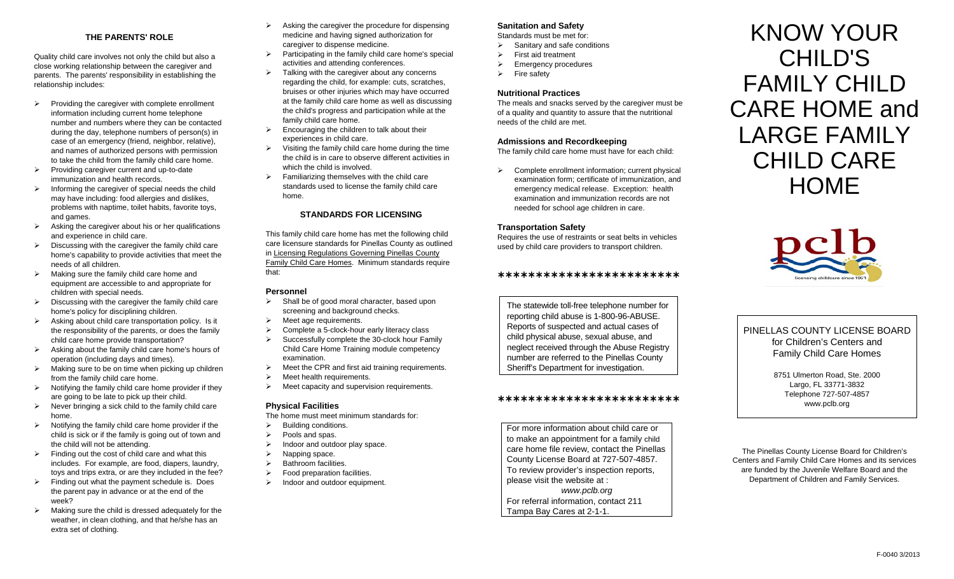#### **THE PARENTS' ROLE**

Quality child care involves not only the child but also a close working relationship between the caregiver and parents. The parents' responsibility in establishing the relationship includes:

- $\triangleright$  Providing the caregiver with complete enrollment information including current home telephone number and numbers where they can be contacted during the day, telephone numbers of person(s) in case of an emergency (friend, neighbor, relative), and names of authorized persons with permission to take the child from the family child care home.
- $\triangleright$  Providing caregiver current and up-to-date immunization and health records.
- $\triangleright$  Informing the caregiver of special needs the child may have including: food allergies and dislikes, problems with naptime, toilet habits, favorite toys, and games.
- $\triangleright$  Asking the caregiver about his or her qualifications and experience in child care.
- $\triangleright$  Discussing with the caregiver the family child care home's capability to provide activities that meet the needs of all children.
- $\triangleright$  Making sure the family child care home and equipment are accessible to and appropriate for children with special needs.
- $\triangleright$  Discussing with the caregiver the family child care home's policy for disciplining children.
- $\triangleright$  Asking about child care transportation policy. Is it the responsibility of the parents, or does the family child care home provide transportation?
- $\triangleright$  Asking about the family child care home's hours of operation (including days and times).
- $\triangleright$  Making sure to be on time when picking up children from the family child care home.
- $\triangleright$  Notifying the family child care home provider if they are going to be late to pick up their child.
- $\triangleright$  Never bringing a sick child to the family child care home.
- $\triangleright$  Notifying the family child care home provider if the child is sick or if the family is going out of town and the child will not be attending.
- $\triangleright$  Finding out the cost of child care and what this includes. For example, are food, diapers, laundry, toys and trips extra, or are they included in the fee?
- $\triangleright$  Finding out what the payment schedule is. Does the parent pay in advance or at the end of the week?
- $\triangleright$  Making sure the child is dressed adequately for the weather, in clean clothing, and that he/she has an extra set of clothing.
- $\triangleright$  Asking the caregiver the procedure for dispensing medicine and having signed authorization for caregiver to dispense medicine.
- $\triangleright$  Participating in the family child care home's special activities and attending conferences.
- $\triangleright$  Talking with the caregiver about any concerns regarding the child, for example: cuts, scratches, bruises or other injuries which may have occurred at the family child care home as well as discussing the child's progress and participation while at the family child care home.
- $\triangleright$  Encouraging the children to talk about their experiences in child care.
- $\triangleright$  Visiting the family child care home during the time the child is in care to observe different activities in which the child is involved.
- $\triangleright$  Familiarizing themselves with the child care standards used to license the family child care home.

#### **STANDARDS FOR LICENSING**

This family child care home has met the following child care licensure standards for Pinellas County as outlined in Licensing Regulations Governing Pinellas County Family Child Care Homes. Minimum standards require that:

### **Personnel**

- $\triangleright$  Shall be of good moral character, based upon screening and background checks.
- $\triangleright$  Meet age requirements.
- $\triangleright$  Complete a 5-clock-hour early literacy class
- $\triangleright$  Successfully complete the 30-clock hour Family Child Care Home Training module competency examination.
- $\triangleright$  Meet the CPR and first aid training requirements.
- $\triangleright$  Meet health requirements.
- $\triangleright$  Meet capacity and supervision requirements.

#### **Physical Facilities**

The home must meet minimum standards for:

- $\triangleright$  Building conditions.
- $\triangleright$  Pools and spas.
- Indoor and outdoor play space.
- $\triangleright$  Napping space.
- $\triangleright$  Bathroom facilities.
- $\triangleright$  Food preparation facilities.
- $\triangleright$  Indoor and outdoor equipment.

## **Sanitation and Safety**

Standards must be met for:

- $\triangleright$  Sanitary and safe conditions
- $\triangleright$  First aid treatment
- $\triangleright$  Emergency procedures  $\triangleright$  Fire safety

# **Nutritional Practices**

The meals and snacks served by the caregiver must be of a quality and quantity to assure that the nutritional needs of the child are met.

#### **Admissions and Recordkeeping**

The family child care home must have for each child:

 $\triangleright$  Complete enrollment information: current physical examination form; certificate of immunization, and emergency medical release. Exception: health examination and immunization records are not needed for school age children in care.

#### **Transportation Safety**

Requires the use of restraints or seat belts in vehicles used by child care providers to transport children.

#### \*\*\*\*\*\*\*\*\*\*\*\*\*\*\*\*\*\*\*\*\*\*\*\*

The statewide toll-free telephone number for reporting child abuse is 1-800-96-ABUSE. Reports of suspected and actual cases of child physical abuse, sexual abuse, and neglect received through the Abuse Registry number are referred to the Pinellas County Sheriff's Department for investigation.

#### \*\*\*\*\*\*\*\*\*\*\*\*\*\*\*\*\*\*\*\*\*\*\*\*

For more information about child care or to make an appointment for a family child care home file review, contact the Pinellas County License Board at 727-507-4857. To review provider's inspection reports, please visit the website at : *www.pclb.org* For referral information, contact 211 Tampa Bay Cares at 2-1-1.

KNOW YOUR CHILD'S FAMILY CHILD CARE HOME and LARGE FAMILY CHILD CARE **HOME** 



PINELLAS COUNTY LICENSE BOARD for Children's Centers and Family Child Care Homes

> 8751 Ulmerton Road, Ste. 2000 Largo, FL 33771-3832 Telephone 727-507-4857 www.pclb.org

The Pinellas County License Board for Children's Centers and Family Child Care Homes and its services are funded by the Juvenile Welfare Board and the Department of Children and Family Services.